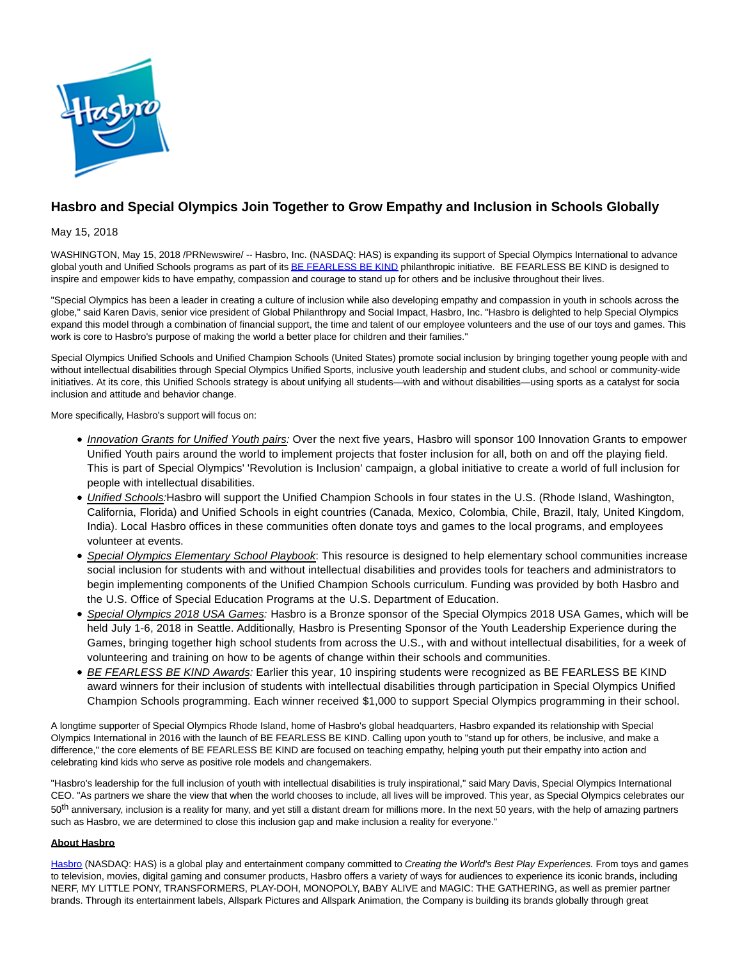

## **Hasbro and Special Olympics Join Together to Grow Empathy and Inclusion in Schools Globally**

May 15, 2018

WASHINGTON, May 15, 2018 /PRNewswire/ -- Hasbro, Inc. (NASDAQ: HAS) is expanding its support of Special Olympics International to advance global youth and Unified Schools programs as part of it[s BE FEARLESS BE KIND p](http://www.befearlessbekind.org/)hilanthropic initiative. BE FEARLESS BE KIND is designed to inspire and empower kids to have empathy, compassion and courage to stand up for others and be inclusive throughout their lives.

"Special Olympics has been a leader in creating a culture of inclusion while also developing empathy and compassion in youth in schools across the globe," said Karen Davis, senior vice president of Global Philanthropy and Social Impact, Hasbro, Inc. "Hasbro is delighted to help Special Olympics expand this model through a combination of financial support, the time and talent of our employee volunteers and the use of our toys and games. This work is core to Hasbro's purpose of making the world a better place for children and their families."

Special Olympics Unified Schools and Unified Champion Schools (United States) promote social inclusion by bringing together young people with and without intellectual disabilities through Special Olympics Unified Sports, inclusive youth leadership and student clubs, and school or community-wide initiatives. At its core, this Unified Schools strategy is about unifying all students—with and without disabilities—using sports as a catalyst for social inclusion and attitude and behavior change.

More specifically, Hasbro's support will focus on:

- Innovation Grants for Unified Youth pairs: Over the next five years, Hasbro will sponsor 100 Innovation Grants to empower Unified Youth pairs around the world to implement projects that foster inclusion for all, both on and off the playing field. This is part of Special Olympics' 'Revolution is Inclusion' campaign, a global initiative to create a world of full inclusion for people with intellectual disabilities.
- Unified Schools:Hasbro will support the Unified Champion Schools in four states in the U.S. (Rhode Island, Washington, California, Florida) and Unified Schools in eight countries (Canada, Mexico, Colombia, Chile, Brazil, Italy, United Kingdom, India). Local Hasbro offices in these communities often donate toys and games to the local programs, and employees volunteer at events.
- Special Olympics Elementary School Playbook: This resource is designed to help elementary school communities increase social inclusion for students with and without intellectual disabilities and provides tools for teachers and administrators to begin implementing components of the Unified Champion Schools curriculum. Funding was provided by both Hasbro and the U.S. Office of Special Education Programs at the U.S. Department of Education.
- Special Olympics 2018 USA Games: Hasbro is a Bronze sponsor of the Special Olympics 2018 USA Games, which will be held July 1-6, 2018 in Seattle. Additionally, Hasbro is Presenting Sponsor of the Youth Leadership Experience during the Games, bringing together high school students from across the U.S., with and without intellectual disabilities, for a week of volunteering and training on how to be agents of change within their schools and communities.
- BE FEARLESS BE KIND Awards: Earlier this year, 10 inspiring students were recognized as BE FEARLESS BE KIND award winners for their inclusion of students with intellectual disabilities through participation in Special Olympics Unified Champion Schools programming. Each winner received \$1,000 to support Special Olympics programming in their school.

A longtime supporter of Special Olympics Rhode Island, home of Hasbro's global headquarters, Hasbro expanded its relationship with Special Olympics International in 2016 with the launch of BE FEARLESS BE KIND. Calling upon youth to "stand up for others, be inclusive, and make a difference," the core elements of BE FEARLESS BE KIND are focused on teaching empathy, helping youth put their empathy into action and celebrating kind kids who serve as positive role models and changemakers.

"Hasbro's leadership for the full inclusion of youth with intellectual disabilities is truly inspirational," said Mary Davis, Special Olympics International CEO. "As partners we share the view that when the world chooses to include, all lives will be improved. This year, as Special Olympics celebrates our 50<sup>th</sup> anniversary, inclusion is a reality for many, and yet still a distant dream for millions more. In the next 50 years, with the help of amazing partners such as Hasbro, we are determined to close this inclusion gap and make inclusion a reality for everyone."

## **About Hasbro**

[Hasbro \(](http://www.hasbro.com/)NASDAQ: HAS) is a global play and entertainment company committed to Creating the World's Best Play Experiences. From toys and games to television, movies, digital gaming and consumer products, Hasbro offers a variety of ways for audiences to experience its iconic brands, including NERF, MY LITTLE PONY, TRANSFORMERS, PLAY-DOH, MONOPOLY, BABY ALIVE and MAGIC: THE GATHERING, as well as premier partner brands. Through its entertainment labels, Allspark Pictures and Allspark Animation, the Company is building its brands globally through great